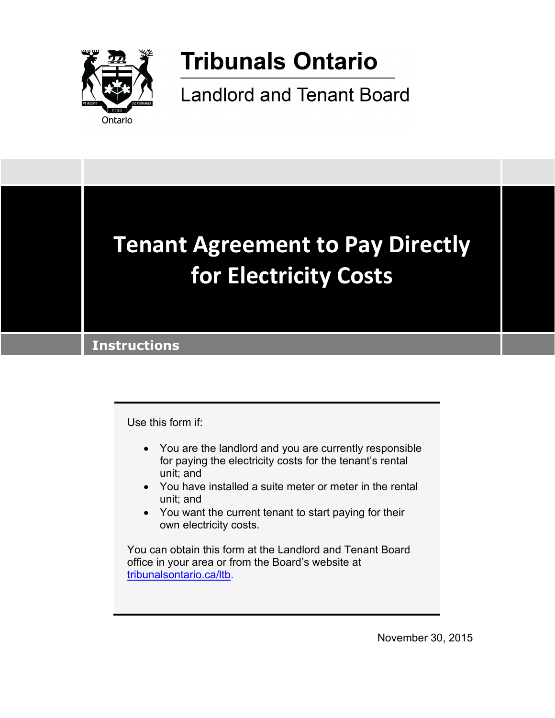

# **Tribunals Ontario**

**Landlord and Tenant Board** 



Use this form if:

- You are the landlord and you are currently responsible for paying the electricity costs for the tenant's rental unit; and
- You have installed a suite meter or meter in the rental unit; and
- You want the current tenant to start paying for their own electricity costs.

You can obtain this form at the Landlord and Tenant Board office in your area or from the Board's website at [tribunalsontario.ca/ltb.](https://tribunalsontario.ca/ltb)

November 30, 2015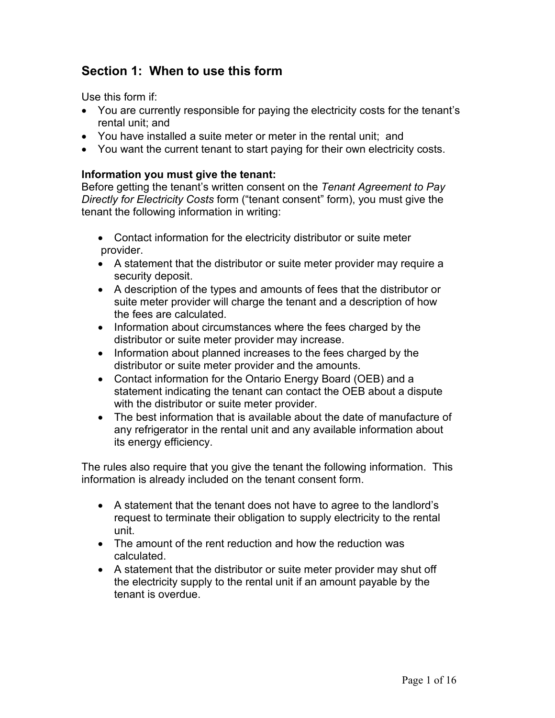# **Section 1: When to use this form**

Use this form if:

- You are currently responsible for paying the electricity costs for the tenant's rental unit; and
- You have installed a suite meter or meter in the rental unit; and
- You want the current tenant to start paying for their own electricity costs.

# **Information you must give the tenant:**

Before getting the tenant's written consent on the *Tenant Agreement to Pay Directly for Electricity Costs* form ("tenant consent" form), you must give the tenant the following information in writing:

- Contact information for the electricity distributor or suite meter provider.
- A statement that the distributor or suite meter provider may require a security deposit.
- A description of the types and amounts of fees that the distributor or suite meter provider will charge the tenant and a description of how the fees are calculated.
- Information about circumstances where the fees charged by the distributor or suite meter provider may increase.
- Information about planned increases to the fees charged by the distributor or suite meter provider and the amounts.
- Contact information for the Ontario Energy Board (OEB) and a statement indicating the tenant can contact the OEB about a dispute with the distributor or suite meter provider.
- The best information that is available about the date of manufacture of any refrigerator in the rental unit and any available information about its energy efficiency.

The rules also require that you give the tenant the following information. This information is already included on the tenant consent form.

- A statement that the tenant does not have to agree to the landlord's request to terminate their obligation to supply electricity to the rental unit.
- The amount of the rent reduction and how the reduction was calculated.
- A statement that the distributor or suite meter provider may shut off the electricity supply to the rental unit if an amount payable by the tenant is overdue.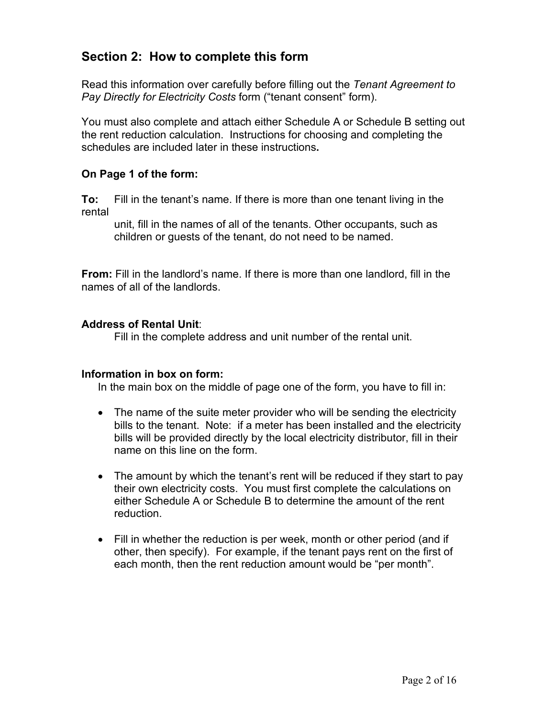# **Section 2: How to complete this form**

Read this information over carefully before filling out the *Tenant Agreement to Pay Directly for Electricity Costs* form ("tenant consent" form).

You must also complete and attach either Schedule A or Schedule B setting out the rent reduction calculation. Instructions for choosing and completing the schedules are included later in these instructions**.**

# **On Page 1 of the form:**

**To:** Fill in the tenant's name. If there is more than one tenant living in the rental

unit, fill in the names of all of the tenants. Other occupants, such as children or guests of the tenant, do not need to be named.

**From:** Fill in the landlord's name. If there is more than one landlord, fill in the names of all of the landlords.

# **Address of Rental Unit**:

Fill in the complete address and unit number of the rental unit.

### **Information in box on form:**

In the main box on the middle of page one of the form, you have to fill in:

- The name of the suite meter provider who will be sending the electricity bills to the tenant. Note: if a meter has been installed and the electricity bills will be provided directly by the local electricity distributor, fill in their name on this line on the form.
- The amount by which the tenant's rent will be reduced if they start to pay their own electricity costs. You must first complete the calculations on either Schedule A or Schedule B to determine the amount of the rent reduction.
- Fill in whether the reduction is per week, month or other period (and if other, then specify). For example, if the tenant pays rent on the first of each month, then the rent reduction amount would be "per month".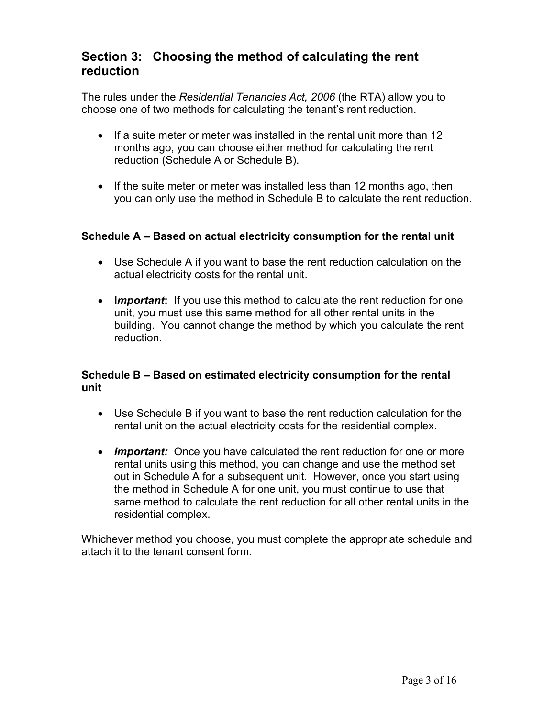# **Section 3: Choosing the method of calculating the rent reduction**

The rules under the *Residential Tenancies Act, 2006* (the RTA) allow you to choose one of two methods for calculating the tenant's rent reduction.

- If a suite meter or meter was installed in the rental unit more than 12 months ago, you can choose either method for calculating the rent reduction (Schedule A or Schedule B).
- If the suite meter or meter was installed less than 12 months ago, then you can only use the method in Schedule B to calculate the rent reduction.

# **Schedule A – Based on actual electricity consumption for the rental unit**

- Use Schedule A if you want to base the rent reduction calculation on the actual electricity costs for the rental unit.
- **I***mportant***:** If you use this method to calculate the rent reduction for one unit, you must use this same method for all other rental units in the building. You cannot change the method by which you calculate the rent reduction.

# **Schedule B – Based on estimated electricity consumption for the rental unit**

- Use Schedule B if you want to base the rent reduction calculation for the rental unit on the actual electricity costs for the residential complex.
- *Important:* Once you have calculated the rent reduction for one or more rental units using this method, you can change and use the method set out in Schedule A for a subsequent unit. However, once you start using the method in Schedule A for one unit, you must continue to use that same method to calculate the rent reduction for all other rental units in the residential complex.

Whichever method you choose, you must complete the appropriate schedule and attach it to the tenant consent form.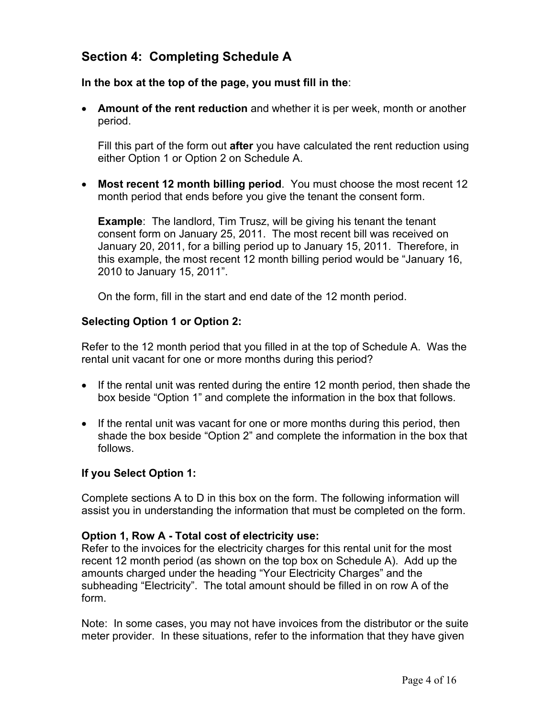# **Section 4: Completing Schedule A**

**In the box at the top of the page, you must fill in the**:

• **Amount of the rent reduction** and whether it is per week, month or another period.

Fill this part of the form out **after** you have calculated the rent reduction using either Option 1 or Option 2 on Schedule A.

• **Most recent 12 month billing period**. You must choose the most recent 12 month period that ends before you give the tenant the consent form.

**Example**: The landlord, Tim Trusz, will be giving his tenant the tenant consent form on January 25, 2011. The most recent bill was received on January 20, 2011, for a billing period up to January 15, 2011. Therefore, in this example, the most recent 12 month billing period would be "January 16, 2010 to January 15, 2011".

On the form, fill in the start and end date of the 12 month period.

# **Selecting Option 1 or Option 2:**

Refer to the 12 month period that you filled in at the top of Schedule A. Was the rental unit vacant for one or more months during this period?

- If the rental unit was rented during the entire 12 month period, then shade the box beside "Option 1" and complete the information in the box that follows.
- If the rental unit was vacant for one or more months during this period, then shade the box beside "Option 2" and complete the information in the box that follows.

# **If you Select Option 1:**

Complete sections A to D in this box on the form. The following information will assist you in understanding the information that must be completed on the form.

### **Option 1, Row A - Total cost of electricity use:**

Refer to the invoices for the electricity charges for this rental unit for the most recent 12 month period (as shown on the top box on Schedule A). Add up the amounts charged under the heading "Your Electricity Charges" and the subheading "Electricity". The total amount should be filled in on row A of the form.

Note: In some cases, you may not have invoices from the distributor or the suite meter provider. In these situations, refer to the information that they have given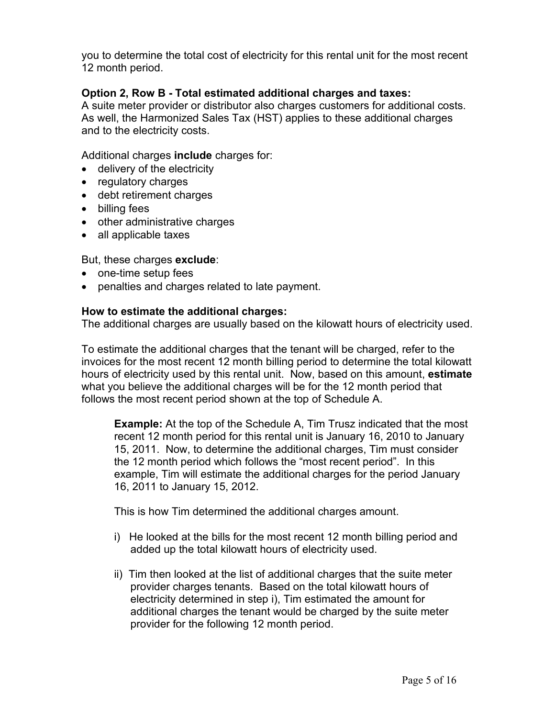you to determine the total cost of electricity for this rental unit for the most recent 12 month period.

### **Option 2, Row B - Total estimated additional charges and taxes:**

A suite meter provider or distributor also charges customers for additional costs. As well, the Harmonized Sales Tax (HST) applies to these additional charges and to the electricity costs.

Additional charges **include** charges for:

- delivery of the electricity
- regulatory charges
- debt retirement charges
- billing fees
- other administrative charges
- all applicable taxes

But, these charges **exclude**:

- one-time setup fees
- penalties and charges related to late payment.

#### **How to estimate the additional charges:**

The additional charges are usually based on the kilowatt hours of electricity used.

To estimate the additional charges that the tenant will be charged, refer to the invoices for the most recent 12 month billing period to determine the total kilowatt hours of electricity used by this rental unit. Now, based on this amount, **estimate** what you believe the additional charges will be for the 12 month period that follows the most recent period shown at the top of Schedule A.

**Example:** At the top of the Schedule A, Tim Trusz indicated that the most recent 12 month period for this rental unit is January 16, 2010 to January 15, 2011. Now, to determine the additional charges, Tim must consider the 12 month period which follows the "most recent period". In this example, Tim will estimate the additional charges for the period January 16, 2011 to January 15, 2012.

This is how Tim determined the additional charges amount.

- i) He looked at the bills for the most recent 12 month billing period and added up the total kilowatt hours of electricity used.
- ii) Tim then looked at the list of additional charges that the suite meter provider charges tenants. Based on the total kilowatt hours of electricity determined in step i), Tim estimated the amount for additional charges the tenant would be charged by the suite meter provider for the following 12 month period.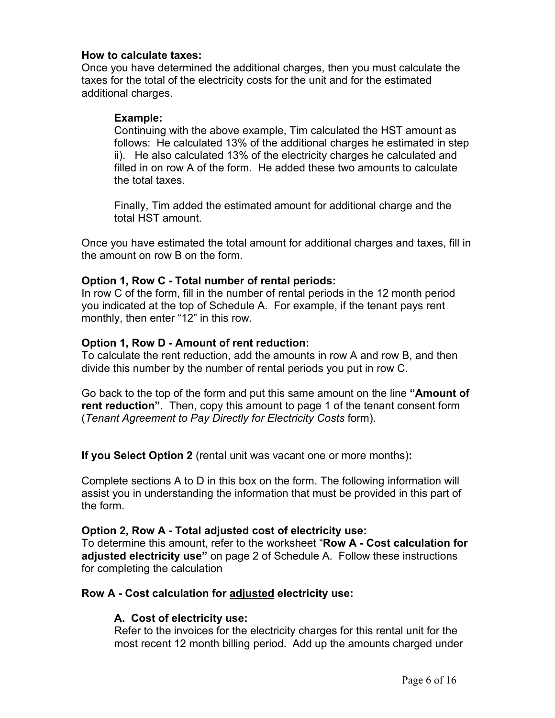### **How to calculate taxes:**

Once you have determined the additional charges, then you must calculate the taxes for the total of the electricity costs for the unit and for the estimated additional charges.

#### **Example:**

Continuing with the above example, Tim calculated the HST amount as follows: He calculated 13% of the additional charges he estimated in step ii). He also calculated 13% of the electricity charges he calculated and filled in on row A of the form. He added these two amounts to calculate the total taxes.

Finally, Tim added the estimated amount for additional charge and the total HST amount.

Once you have estimated the total amount for additional charges and taxes, fill in the amount on row B on the form.

#### **Option 1, Row C - Total number of rental periods:**

In row C of the form, fill in the number of rental periods in the 12 month period you indicated at the top of Schedule A. For example, if the tenant pays rent monthly, then enter "12" in this row.

### **Option 1, Row D - Amount of rent reduction:**

To calculate the rent reduction, add the amounts in row A and row B, and then divide this number by the number of rental periods you put in row C.

Go back to the top of the form and put this same amount on the line **"Amount of rent reduction"**. Then, copy this amount to page 1 of the tenant consent form (*Tenant Agreement to Pay Directly for Electricity Costs* form).

**If you Select Option 2** (rental unit was vacant one or more months)**:**

Complete sections A to D in this box on the form. The following information will assist you in understanding the information that must be provided in this part of the form.

### **Option 2, Row A - Total adjusted cost of electricity use:**

To determine this amount, refer to the worksheet "**Row A - Cost calculation for adjusted electricity use"** on page 2 of Schedule A. Follow these instructions for completing the calculation

### **Row A - Cost calculation for adjusted electricity use:**

#### **A. Cost of electricity use:**

Refer to the invoices for the electricity charges for this rental unit for the most recent 12 month billing period. Add up the amounts charged under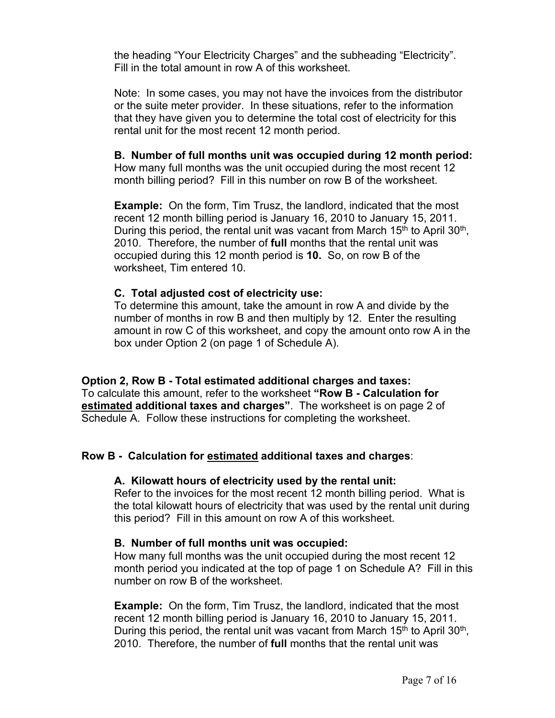the heading "Your Electricity Charges" and the subheading "Electricity". Fill in the total amount in row A of this worksheet.

Note: In some cases, you may not have the invoices from the distributor or the suite meter provider. In these situations, refer to the information that they have given you to determine the total cost of electricity for this rental unit for the most recent 12 month period.

### **B. Number of full months unit was occupied during 12 month period:**

How many full months was the unit occupied during the most recent 12 month billing period? Fill in this number on row B of the worksheet.

**Example:** On the form, Tim Trusz, the landlord, indicated that the most recent 12 month billing period is January 16, 2010 to January 15, 2011. During this period, the rental unit was vacant from March  $15<sup>th</sup>$  to April  $30<sup>th</sup>$ , 2010. Therefore, the number of **full** months that the rental unit was occupied during this 12 month period is **10.** So, on row B of the worksheet, Tim entered 10.

#### **C. Total adjusted cost of electricity use:**

To determine this amount, take the amount in row A and divide by the number of months in row B and then multiply by 12. Enter the resulting amount in row C of this worksheet, and copy the amount onto row A in the box under Option 2 (on page 1 of Schedule A).

### **Option 2, Row B - Total estimated additional charges and taxes:**

To calculate this amount, refer to the worksheet **"Row B - Calculation for estimated additional taxes and charges"**. The worksheet is on page 2 of Schedule A. Follow these instructions for completing the worksheet.

### **Row B - Calculation for estimated additional taxes and charges**:

### **A. Kilowatt hours of electricity used by the rental unit:**

Refer to the invoices for the most recent 12 month billing period. What is the total kilowatt hours of electricity that was used by the rental unit during this period? Fill in this amount on row A of this worksheet.

### **B. Number of full months unit was occupied:**

How many full months was the unit occupied during the most recent 12 month period you indicated at the top of page 1 on Schedule A? Fill in this number on row B of the worksheet.

**Example:** On the form, Tim Trusz, the landlord, indicated that the most recent 12 month billing period is January 16, 2010 to January 15, 2011. During this period, the rental unit was vacant from March 15<sup>th</sup> to April 30<sup>th</sup>, 2010. Therefore, the number of **full** months that the rental unit was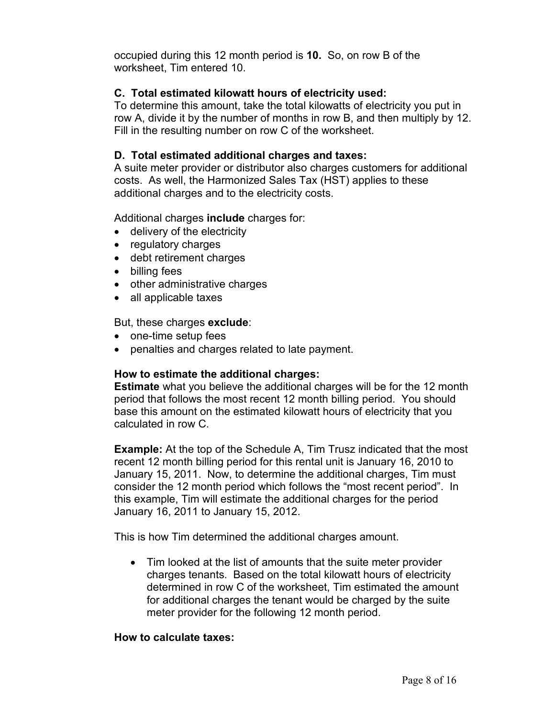occupied during this 12 month period is **10.** So, on row B of the worksheet, Tim entered 10.

### **C. Total estimated kilowatt hours of electricity used:**

To determine this amount, take the total kilowatts of electricity you put in row A, divide it by the number of months in row B, and then multiply by 12. Fill in the resulting number on row C of the worksheet.

# **D. Total estimated additional charges and taxes:**

A suite meter provider or distributor also charges customers for additional costs. As well, the Harmonized Sales Tax (HST) applies to these additional charges and to the electricity costs.

Additional charges **include** charges for:

- delivery of the electricity
- regulatory charges
- debt retirement charges
- billing fees
- other administrative charges
- all applicable taxes

#### But, these charges **exclude**:

- one-time setup fees
- penalties and charges related to late payment.

### **How to estimate the additional charges:**

**Estimate** what you believe the additional charges will be for the 12 month period that follows the most recent 12 month billing period. You should base this amount on the estimated kilowatt hours of electricity that you calculated in row C.

**Example:** At the top of the Schedule A, Tim Trusz indicated that the most recent 12 month billing period for this rental unit is January 16, 2010 to January 15, 2011. Now, to determine the additional charges, Tim must consider the 12 month period which follows the "most recent period". In this example, Tim will estimate the additional charges for the period January 16, 2011 to January 15, 2012.

This is how Tim determined the additional charges amount.

• Tim looked at the list of amounts that the suite meter provider charges tenants. Based on the total kilowatt hours of electricity determined in row C of the worksheet, Tim estimated the amount for additional charges the tenant would be charged by the suite meter provider for the following 12 month period.

### **How to calculate taxes:**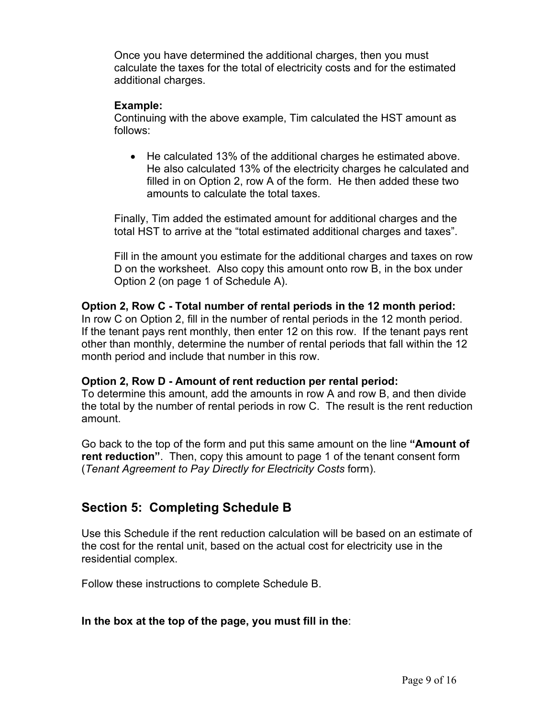Once you have determined the additional charges, then you must calculate the taxes for the total of electricity costs and for the estimated additional charges.

### **Example:**

Continuing with the above example, Tim calculated the HST amount as follows:

• He calculated 13% of the additional charges he estimated above. He also calculated 13% of the electricity charges he calculated and filled in on Option 2, row A of the form. He then added these two amounts to calculate the total taxes.

Finally, Tim added the estimated amount for additional charges and the total HST to arrive at the "total estimated additional charges and taxes".

Fill in the amount you estimate for the additional charges and taxes on row D on the worksheet. Also copy this amount onto row B, in the box under Option 2 (on page 1 of Schedule A).

# **Option 2, Row C - Total number of rental periods in the 12 month period:**

In row C on Option 2, fill in the number of rental periods in the 12 month period. If the tenant pays rent monthly, then enter 12 on this row. If the tenant pays rent other than monthly, determine the number of rental periods that fall within the 12 month period and include that number in this row.

### **Option 2, Row D - Amount of rent reduction per rental period:**

To determine this amount, add the amounts in row A and row B, and then divide the total by the number of rental periods in row C. The result is the rent reduction amount.

Go back to the top of the form and put this same amount on the line **"Amount of rent reduction"**. Then, copy this amount to page 1 of the tenant consent form (*Tenant Agreement to Pay Directly for Electricity Costs* form).

# **Section 5: Completing Schedule B**

Use this Schedule if the rent reduction calculation will be based on an estimate of the cost for the rental unit, based on the actual cost for electricity use in the residential complex.

Follow these instructions to complete Schedule B.

### **In the box at the top of the page, you must fill in the**: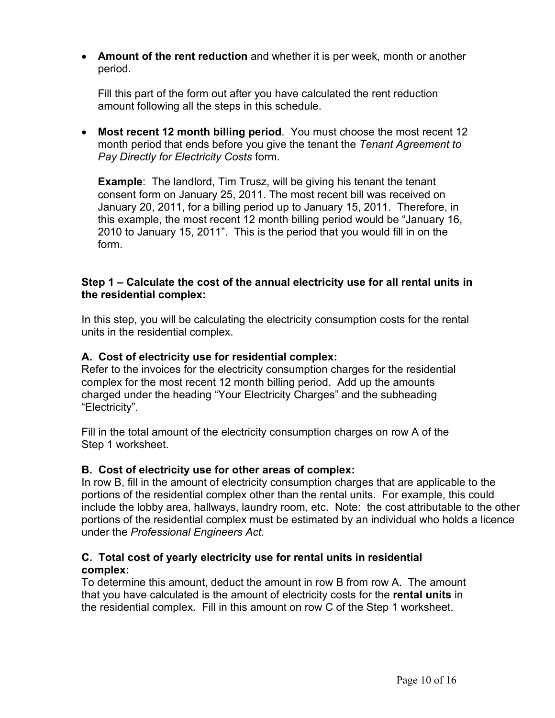• **Amount of the rent reduction** and whether it is per week, month or another period.

Fill this part of the form out after you have calculated the rent reduction amount following all the steps in this schedule.

• **Most recent 12 month billing period**. You must choose the most recent 12 month period that ends before you give the tenant the *Tenant Agreement to Pay Directly for Electricity Costs* form.

**Example**: The landlord, Tim Trusz, will be giving his tenant the tenant consent form on January 25, 2011. The most recent bill was received on January 20, 2011, for a billing period up to January 15, 2011. Therefore, in this example, the most recent 12 month billing period would be "January 16, 2010 to January 15, 2011". This is the period that you would fill in on the form.

# **Step 1 – Calculate the cost of the annual electricity use for all rental units in the residential complex:**

In this step, you will be calculating the electricity consumption costs for the rental units in the residential complex.

# **A. Cost of electricity use for residential complex:**

Refer to the invoices for the electricity consumption charges for the residential complex for the most recent 12 month billing period. Add up the amounts charged under the heading "Your Electricity Charges" and the subheading "Electricity".

Fill in the total amount of the electricity consumption charges on row A of the Step 1 worksheet.

# **B. Cost of electricity use for other areas of complex:**

In row B, fill in the amount of electricity consumption charges that are applicable to the portions of the residential complex other than the rental units. For example, this could include the lobby area, hallways, laundry room, etc. Note: the cost attributable to the other portions of the residential complex must be estimated by an individual who holds a licence under the *Professional Engineers Act*.

# **C. Total cost of yearly electricity use for rental units in residential complex:**

To determine this amount, deduct the amount in row B from row A. The amount that you have calculated is the amount of electricity costs for the **rental units** in the residential complex. Fill in this amount on row C of the Step 1 worksheet.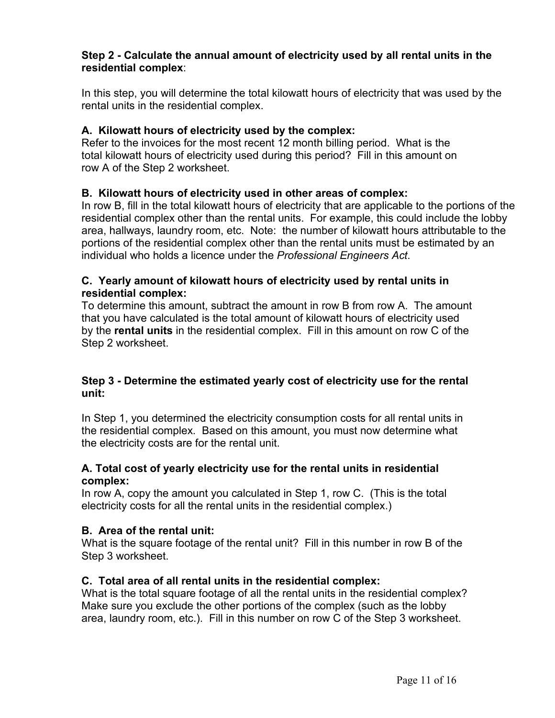# **Step 2 - Calculate the annual amount of electricity used by all rental units in the residential complex**:

In this step, you will determine the total kilowatt hours of electricity that was used by the rental units in the residential complex.

# **A. Kilowatt hours of electricity used by the complex:**

Refer to the invoices for the most recent 12 month billing period. What is the total kilowatt hours of electricity used during this period? Fill in this amount on row A of the Step 2 worksheet.

# **B. Kilowatt hours of electricity used in other areas of complex:**

In row B, fill in the total kilowatt hours of electricity that are applicable to the portions of the residential complex other than the rental units. For example, this could include the lobby area, hallways, laundry room, etc. Note: the number of kilowatt hours attributable to the portions of the residential complex other than the rental units must be estimated by an individual who holds a licence under the *Professional Engineers Act*.

# **C. Yearly amount of kilowatt hours of electricity used by rental units in residential complex:**

To determine this amount, subtract the amount in row B from row A. The amount that you have calculated is the total amount of kilowatt hours of electricity used by the **rental units** in the residential complex. Fill in this amount on row C of the Step 2 worksheet.

# **Step 3 - Determine the estimated yearly cost of electricity use for the rental unit:**

In Step 1, you determined the electricity consumption costs for all rental units in the residential complex. Based on this amount, you must now determine what the electricity costs are for the rental unit.

# **A. Total cost of yearly electricity use for the rental units in residential complex:**

In row A, copy the amount you calculated in Step 1, row C. (This is the total electricity costs for all the rental units in the residential complex.)

# **B. Area of the rental unit:**

What is the square footage of the rental unit? Fill in this number in row B of the Step 3 worksheet.

# **C. Total area of all rental units in the residential complex:**

What is the total square footage of all the rental units in the residential complex? Make sure you exclude the other portions of the complex (such as the lobby area, laundry room, etc.). Fill in this number on row C of the Step 3 worksheet.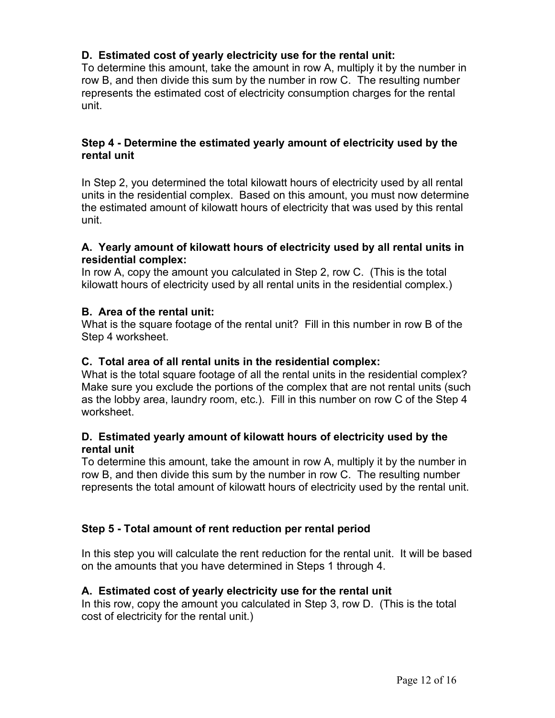# **D. Estimated cost of yearly electricity use for the rental unit:**

To determine this amount, take the amount in row A, multiply it by the number in row B, and then divide this sum by the number in row C. The resulting number represents the estimated cost of electricity consumption charges for the rental unit.

### **Step 4 - Determine the estimated yearly amount of electricity used by the rental unit**

In Step 2, you determined the total kilowatt hours of electricity used by all rental units in the residential complex. Based on this amount, you must now determine the estimated amount of kilowatt hours of electricity that was used by this rental unit.

### **A. Yearly amount of kilowatt hours of electricity used by all rental units in residential complex:**

In row A, copy the amount you calculated in Step 2, row C. (This is the total kilowatt hours of electricity used by all rental units in the residential complex.)

# **B. Area of the rental unit:**

What is the square footage of the rental unit? Fill in this number in row B of the Step 4 worksheet.

### **C. Total area of all rental units in the residential complex:**

What is the total square footage of all the rental units in the residential complex? Make sure you exclude the portions of the complex that are not rental units (such as the lobby area, laundry room, etc.). Fill in this number on row C of the Step 4 worksheet

# **D. Estimated yearly amount of kilowatt hours of electricity used by the rental unit**

To determine this amount, take the amount in row A, multiply it by the number in row B, and then divide this sum by the number in row C. The resulting number represents the total amount of kilowatt hours of electricity used by the rental unit.

# **Step 5 - Total amount of rent reduction per rental period**

In this step you will calculate the rent reduction for the rental unit. It will be based on the amounts that you have determined in Steps 1 through 4.

### **A. Estimated cost of yearly electricity use for the rental unit**

In this row, copy the amount you calculated in Step 3, row D. (This is the total cost of electricity for the rental unit.)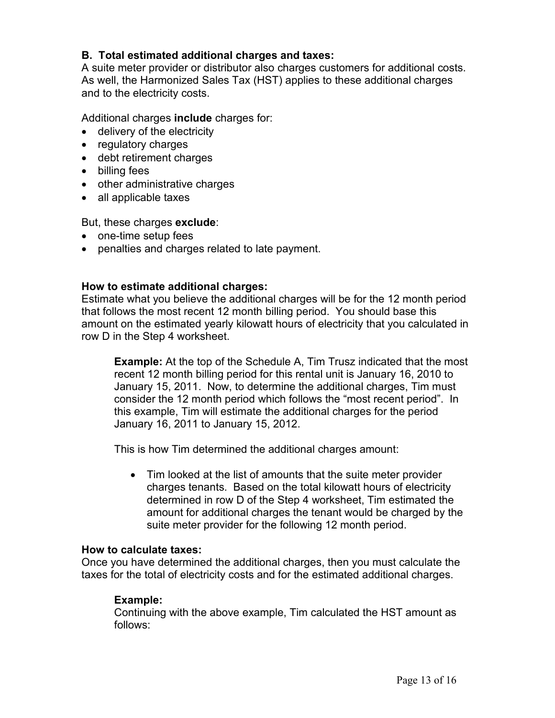# **B. Total estimated additional charges and taxes:**

A suite meter provider or distributor also charges customers for additional costs. As well, the Harmonized Sales Tax (HST) applies to these additional charges and to the electricity costs.

Additional charges **include** charges for:

- delivery of the electricity
- regulatory charges
- debt retirement charges
- billing fees
- other administrative charges
- all applicable taxes

But, these charges **exclude**:

- one-time setup fees
- penalties and charges related to late payment.

### **How to estimate additional charges:**

Estimate what you believe the additional charges will be for the 12 month period that follows the most recent 12 month billing period. You should base this amount on the estimated yearly kilowatt hours of electricity that you calculated in row D in the Step 4 worksheet.

**Example:** At the top of the Schedule A, Tim Trusz indicated that the most recent 12 month billing period for this rental unit is January 16, 2010 to January 15, 2011. Now, to determine the additional charges, Tim must consider the 12 month period which follows the "most recent period". In this example, Tim will estimate the additional charges for the period January 16, 2011 to January 15, 2012.

This is how Tim determined the additional charges amount:

• Tim looked at the list of amounts that the suite meter provider charges tenants. Based on the total kilowatt hours of electricity determined in row D of the Step 4 worksheet, Tim estimated the amount for additional charges the tenant would be charged by the suite meter provider for the following 12 month period.

#### **How to calculate taxes:**

Once you have determined the additional charges, then you must calculate the taxes for the total of electricity costs and for the estimated additional charges.

### **Example:**

Continuing with the above example, Tim calculated the HST amount as follows: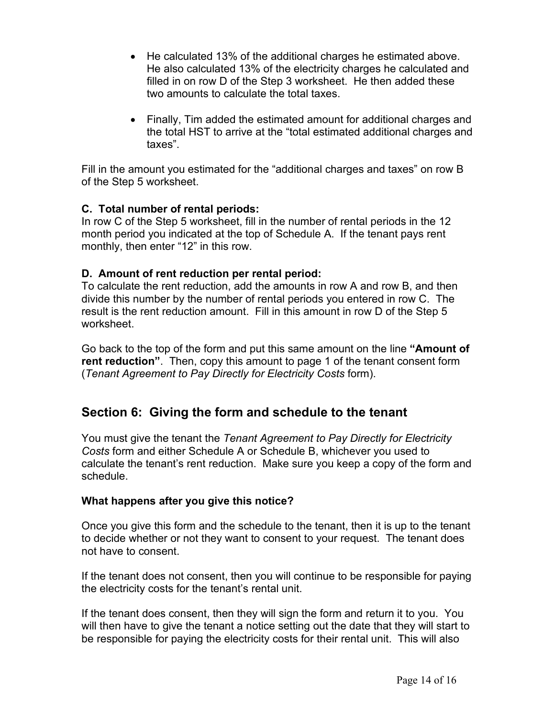- He calculated 13% of the additional charges he estimated above. He also calculated 13% of the electricity charges he calculated and filled in on row D of the Step 3 worksheet. He then added these two amounts to calculate the total taxes.
- Finally, Tim added the estimated amount for additional charges and the total HST to arrive at the "total estimated additional charges and taxes".

Fill in the amount you estimated for the "additional charges and taxes" on row B of the Step 5 worksheet.

# **C. Total number of rental periods:**

In row C of the Step 5 worksheet, fill in the number of rental periods in the 12 month period you indicated at the top of Schedule A. If the tenant pays rent monthly, then enter "12" in this row.

# **D. Amount of rent reduction per rental period:**

To calculate the rent reduction, add the amounts in row A and row B, and then divide this number by the number of rental periods you entered in row C. The result is the rent reduction amount. Fill in this amount in row D of the Step 5 worksheet.

Go back to the top of the form and put this same amount on the line **"Amount of rent reduction"**. Then, copy this amount to page 1 of the tenant consent form (*Tenant Agreement to Pay Directly for Electricity Costs* form).

# **Section 6: Giving the form and schedule to the tenant**

You must give the tenant the *Tenant Agreement to Pay Directly for Electricity Costs* form and either Schedule A or Schedule B, whichever you used to calculate the tenant's rent reduction. Make sure you keep a copy of the form and schedule.

### **What happens after you give this notice?**

Once you give this form and the schedule to the tenant, then it is up to the tenant to decide whether or not they want to consent to your request. The tenant does not have to consent.

If the tenant does not consent, then you will continue to be responsible for paying the electricity costs for the tenant's rental unit.

If the tenant does consent, then they will sign the form and return it to you. You will then have to give the tenant a notice setting out the date that they will start to be responsible for paying the electricity costs for their rental unit. This will also